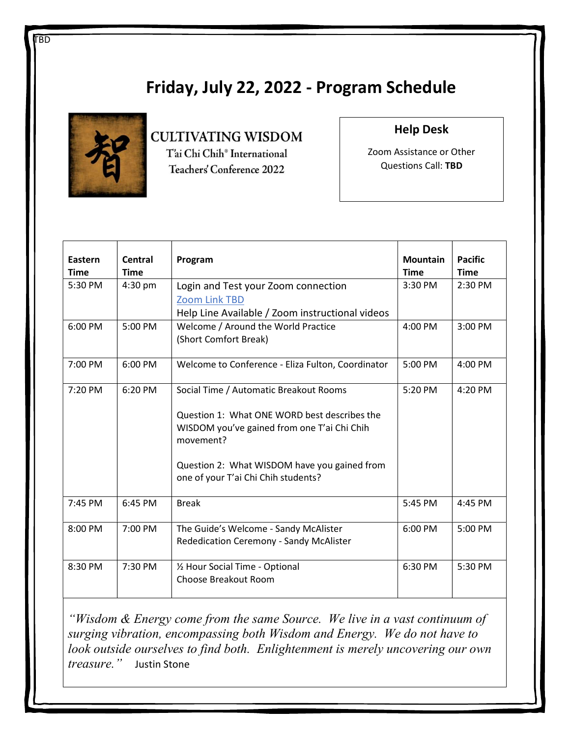## Friday, July 22, 2022 - Program Schedule



### **CULTIVATING WISDOM** T'ai Chi Chih® International Teachers' Conference 2022

#### Help Desk

Zoom Assistance or Other Questions Call: TBD

| Eastern<br><b>Time</b> | Central<br><b>Time</b> | Program                                                                                                                                                                                                                                   | <b>Mountain</b><br><b>Time</b> | <b>Pacific</b><br><b>Time</b> |
|------------------------|------------------------|-------------------------------------------------------------------------------------------------------------------------------------------------------------------------------------------------------------------------------------------|--------------------------------|-------------------------------|
| 5:30 PM                | $4:30$ pm              | Login and Test your Zoom connection<br><b>Zoom Link TBD</b><br>Help Line Available / Zoom instructional videos                                                                                                                            | 3:30 PM                        | 2:30 PM                       |
| 6:00 PM                | 5:00 PM                | Welcome / Around the World Practice<br>(Short Comfort Break)                                                                                                                                                                              | 4:00 PM                        | 3:00 PM                       |
| 7:00 PM                | 6:00 PM                | Welcome to Conference - Eliza Fulton, Coordinator                                                                                                                                                                                         | 5:00 PM                        | 4:00 PM                       |
| 7:20 PM                | 6:20 PM                | Social Time / Automatic Breakout Rooms<br>Question 1: What ONE WORD best describes the<br>WISDOM you've gained from one T'ai Chi Chih<br>movement?<br>Question 2: What WISDOM have you gained from<br>one of your T'ai Chi Chih students? | 5:20 PM                        | 4:20 PM                       |
| 7:45 PM                | $6:45$ PM              | <b>Break</b>                                                                                                                                                                                                                              | 5:45 PM                        | 4:45 PM                       |
| 8:00 PM                | 7:00 PM                | The Guide's Welcome - Sandy McAlister<br>Rededication Ceremony - Sandy McAlister                                                                                                                                                          | 6:00 PM                        | 5:00 PM                       |
| 8:30 PM                | 7:30 PM                | 1/2 Hour Social Time - Optional<br>Choose Breakout Room                                                                                                                                                                                   | 6:30 PM                        | 5:30 PM                       |

"Wisdom & Energy come from the same Source. We live in a vast continuum of surging vibration, encompassing both Wisdom and Energy. We do not have to look outside ourselves to find both. Enlightenment is merely uncovering our own treasure." Justin Stone

I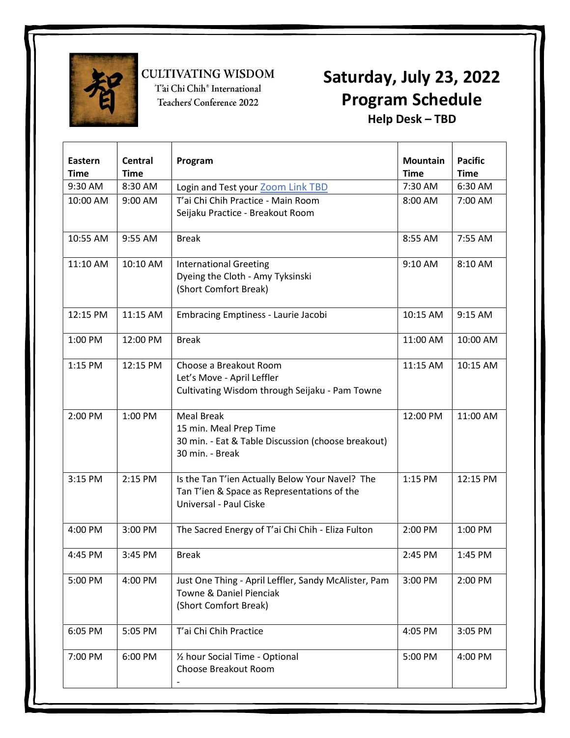

I

**CULTIVATING WISDOM** 

T'ai Chi Chih<sup>®</sup> International Teachers' Conference 2022

### Saturday, July 23, 2022 Program Schedule Help Desk – TBD

| Eastern<br><b>Time</b> | Central<br><b>Time</b> | Program                                              | <b>Mountain</b><br><b>Time</b> | <b>Pacific</b><br><b>Time</b> |
|------------------------|------------------------|------------------------------------------------------|--------------------------------|-------------------------------|
| 9:30 AM                | 8:30 AM                | Login and Test your Zoom Link TBD                    | 7:30 AM                        | 6:30 AM                       |
| 10:00 AM               | 9:00 AM                | T'ai Chi Chih Practice - Main Room                   | 8:00 AM                        | 7:00 AM                       |
|                        |                        | Seijaku Practice - Breakout Room                     |                                |                               |
|                        |                        |                                                      |                                |                               |
| 10:55 AM               | 9:55 AM                | <b>Break</b>                                         | 8:55 AM                        | 7:55 AM                       |
| 11:10 AM               | 10:10 AM               | <b>International Greeting</b>                        | 9:10 AM                        | 8:10 AM                       |
|                        |                        | Dyeing the Cloth - Amy Tyksinski                     |                                |                               |
|                        |                        | (Short Comfort Break)                                |                                |                               |
|                        |                        |                                                      |                                |                               |
| 12:15 PM               | 11:15 AM               | <b>Embracing Emptiness - Laurie Jacobi</b>           | 10:15 AM                       | 9:15 AM                       |
| 1:00 PM                | 12:00 PM               | <b>Break</b>                                         | 11:00 AM                       | 10:00 AM                      |
|                        |                        |                                                      |                                |                               |
| 1:15 PM                | 12:15 PM               | Choose a Breakout Room                               | 11:15 AM                       | 10:15 AM                      |
|                        |                        | Let's Move - April Leffler                           |                                |                               |
|                        |                        | Cultivating Wisdom through Seijaku - Pam Towne       |                                |                               |
|                        |                        |                                                      |                                |                               |
| 2:00 PM                | 1:00 PM                | <b>Meal Break</b>                                    | 12:00 PM                       | 11:00 AM                      |
|                        |                        | 15 min. Meal Prep Time                               |                                |                               |
|                        |                        | 30 min. - Eat & Table Discussion (choose breakout)   |                                |                               |
|                        |                        | 30 min. - Break                                      |                                |                               |
| 3:15 PM                | 2:15 PM                | Is the Tan T'ien Actually Below Your Navel? The      | 1:15 PM                        | 12:15 PM                      |
|                        |                        | Tan T'ien & Space as Representations of the          |                                |                               |
|                        |                        | Universal - Paul Ciske                               |                                |                               |
|                        |                        |                                                      |                                |                               |
| 4:00 PM                | 3:00 PM                | The Sacred Energy of T'ai Chi Chih - Eliza Fulton    | 2:00 PM                        | 1:00 PM                       |
| 4:45 PM                | 3:45 PM                | <b>Break</b>                                         | 2:45 PM                        | 1:45 PM                       |
|                        |                        |                                                      |                                |                               |
| 5:00 PM                | 4:00 PM                | Just One Thing - April Leffler, Sandy McAlister, Pam | 3:00 PM                        | 2:00 PM                       |
|                        |                        | Towne & Daniel Pienciak                              |                                |                               |
|                        |                        | (Short Comfort Break)                                |                                |                               |
|                        |                        |                                                      |                                |                               |
| 6:05 PM                | 5:05 PM                | T'ai Chi Chih Practice                               | 4:05 PM                        | 3:05 PM                       |
| 7:00 PM                | 6:00 PM                | 1/2 hour Social Time - Optional                      | 5:00 PM                        | 4:00 PM                       |
|                        |                        | Choose Breakout Room                                 |                                |                               |
|                        |                        |                                                      |                                |                               |
|                        |                        |                                                      |                                |                               |